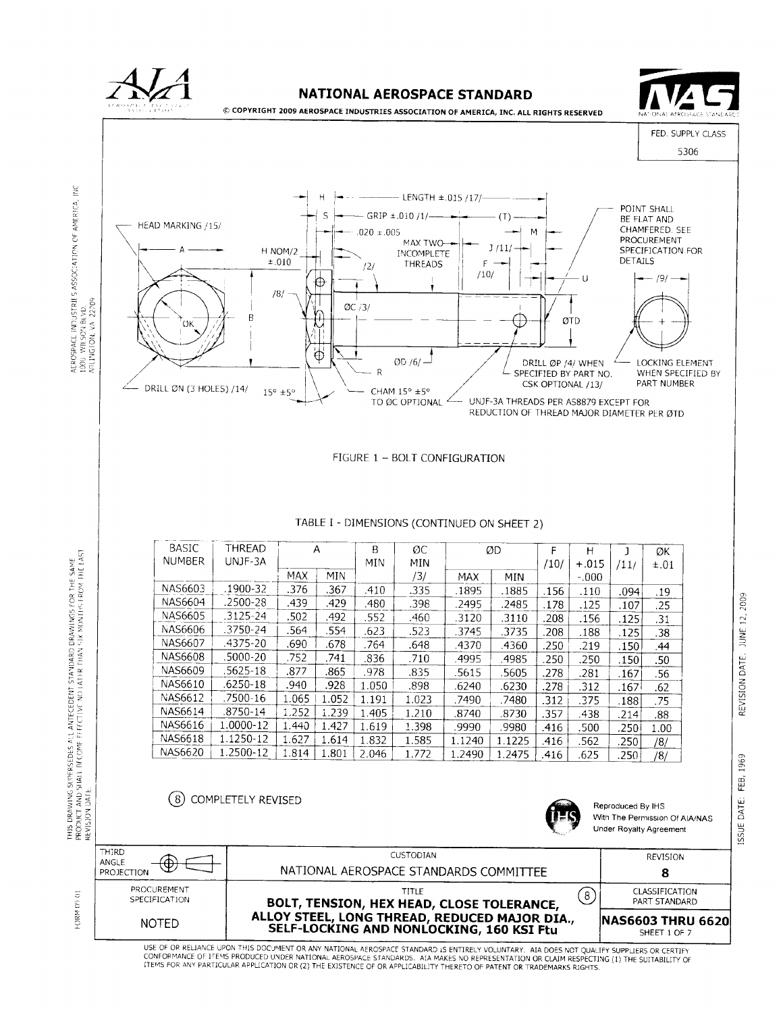

CONFORMANCE OF ITEMS PRODUCED UNDER NATIONAL AEROSPACE STANDARDS. AIA MAKES NO REPRESENTATION OR CLAIM RESPECTING (1) THE SUITABILITY OF ITEMS FOR ANY PARTICULAR APPLICATION OR (2) THE EXISTENCE OF OR APPLICABILITY THERETO OF PATENT OR TRADEMARKS RIGHTS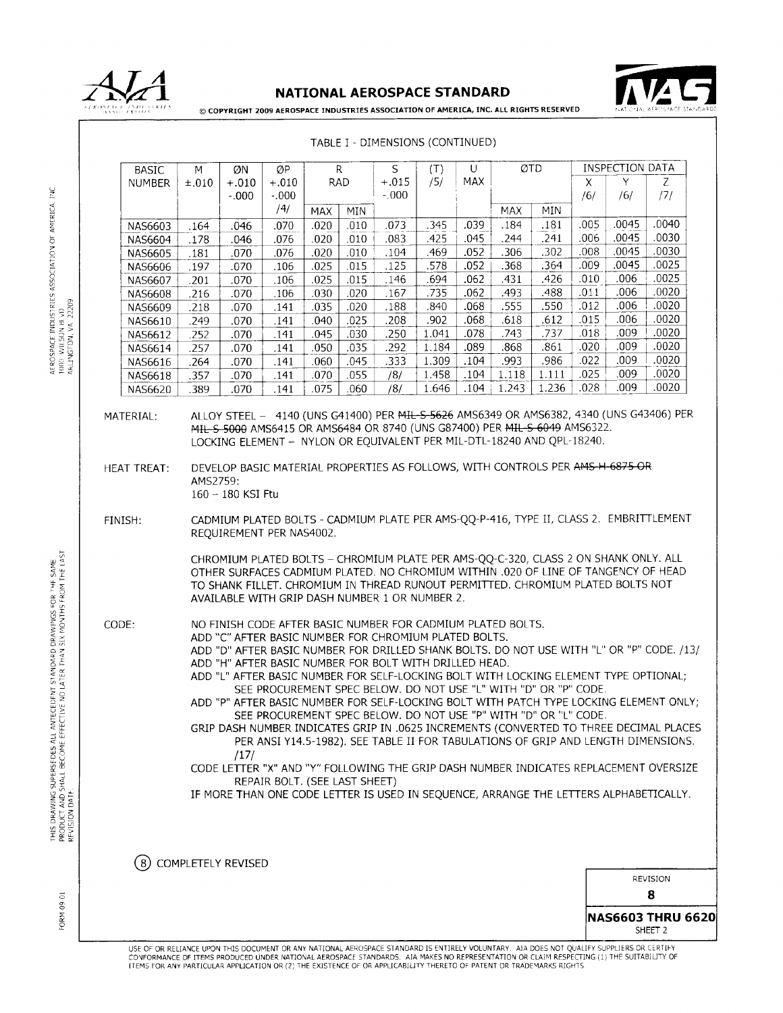



© COPYRIGHT 2009 AEROSPACE INDUSTRIES ASSOCIATION OF AMERICA, INC. ALL RIGHTS RESERVED

 $\overline{\sigma}$ TD **INSPECTION DATA**  $\overline{Q}P$  $\mathsf{R}$ **BASIC** M ØN S  $(T)$ U **NUMBER**  $±.010$  $+.010$  $+.010$ **RAD**  $+.015$  $/5/$ **MAX** Z  $\mathsf{\chi}$  $-0.000$  $-0.000$  $-.000$  $/6/$  $/6/$  $/7/$  $^{14}$ **MAX** MIN **MAX** MIN  $.073$  $\overline{.181}$  $.005$  $.0045$ .0040 .070 .020  $.010$ 345 .039 .184 **NAS6603** .164 .046  $.241$ .045 244 .006 .0045 .0030 **NAS6604** .178 .046 .076  $.020$  $.010$ .083 425  $.052$ 306 302 .008 .0045 .0030 .104 469 **NAS6605** .181 .070 .076 .020  $.010$ .0045  $.0025$ .578 .052 368 .364 .009 **NAS6606** .197 .070 .106  $.025$  $.015$ .125 .006 .0025 426  $.010$ **NAS6607** .201 .070 106 .025  $.015$ .146 .694 .062 .431 .488  $.011$ .006 0020 **NAS6608** .216 .070 106 .030 .020 .167 .735 .062 .493  $.006$  $.555$ .0020 .068 .550 .012 **NAS6609** .218 .070 .141 .035 .020 .188 .840  $.006$ .0020 .068 .612 015 NAS6610 .249 .070 141 .040  $.025$ .208 .902 .618  $.009$ .0020 018 1.041 .078 NAS6612 .252 .070 141 .045 .030 .250 743 .737 .020 .009 .0020 .089 .868 .861 .257 .070 141 .050 .035 .292 1.184 **NAS6614** .0020 .986  $.022$ .009 .070 141 .060 .045 .333 1.309 .104 .993 **NAS6616** .264 .025 .009 .0020 .070 .055 1.458 .104 1.118 1.111 **NAS6618** .357 .070 .141  $/8/$ .075  $/8/$ 1.646 .104 1.243 1.236 .028 .009 .0020 NAS6620 .389 .070 .141 .060 ALLOY STEEL - 4140 (UNS G41400) PER MIL-S-5626 AMS6349 OR AMS6382, 4340 (UNS G43406) PER MATERIAL: MIL S 5000 AMS6415 OR AMS6484 OR 8740 (UNS G87400) PER MIL S 6049 AMS6322. LOCKING ELEMENT - NYLON OR EQUIVALENT PER MIL-DTL-18240 AND OPL-18240. DEVELOP BASIC MATERIAL PROPERTIES AS FOLLOWS, WITH CONTROLS PER AMS-H-6875-OR **HEAT TREAT:** AMS2759: 160 - 180 KSI Ftu CADMIUM PLATED BOLTS - CADMIUM PLATE PER AMS-QQ-P-416, TYPE II, CLASS 2. EMBRITTLEMENT FINISH: REQUIREMENT PER NAS4002. CHROMIUM PLATED BOLTS - CHROMIUM PLATE PER AMS-OO-C-320, CLASS 2 ON SHANK ONLY. ALL OTHER SURFACES CADMIUM PLATED. NO CHROMIUM WITHIN .020 OF LINE OF TANGENCY OF HEAD TO SHANK FILLET. CHROMIUM IN THREAD RUNOUT PERMITTED. CHROMIUM PLATED BOLTS NOT AVAILABLE WITH GRIP DASH NUMBER 1 OR NUMBER 2. CODE: NO FINISH CODE AFTER BASIC NUMBER FOR CADMIUM PLATED BOLTS. ADD "C" AFTER BASIC NUMBER FOR CHROMIUM PLATED BOLTS. ADD "D" AFTER BASIC NUMBER FOR DRILLED SHANK BOLTS. DO NOT USE WITH "L" OR "P" CODE. /13/ ADD "H" AFTER BASIC NUMBER FOR BOLT WITH DRILLED HEAD. ADD "L" AFTER BASIC NUMBER FOR SELF-LOCKING BOLT WITH LOCKING ELEMENT TYPE OPTIONAL; SEE PROCUREMENT SPEC BELOW. DO NOT USE "L" WITH "D" OR "P" CODE. ADD "P" AFTER BASIC NUMBER FOR SELF-LOCKING BOLT WITH PATCH TYPE LOCKING ELEMENT ONLY; SEE PROCUREMENT SPEC BELOW. DO NOT USE "P" WITH "D" OR "L" CODE. GRIP DASH NUMBER INDICATES GRIP IN .0625 INCREMENTS (CONVERTED TO THREE DECIMAL PLACES PER ANSI Y14.5-1982). SEE TABLE II FOR TABULATIONS OF GRIP AND LENGTH DIMENSIONS.  $/17/$ CODE LETTER "X" AND "Y" FOLLOWING THE GRIP DASH NUMBER INDICATES REPLACEMENT OVERSIZE REPAIR BOLT. (SEE LAST SHEET) IF MORE THAN ONE CODE LETTER IS USED IN SEQUENCE, ARRANGE THE LETTERS ALPHABETICALLY. (8) COMPLETELY REVISED **REVISION** 8 **NAS6603 THRU 6620** SHEET<sub>2</sub> USE OF OR RELIANCE UPON THIS DOCUMENT OR ANY NATIONAL AEROSPACE STANDARD IS ENTIRELY VOLUNTARY. AIA DOES NOT QUALIFY SUPPLIERS OR CERTIFY SOUTH THE SUITABLE OF TEMS PRODUCED UNDER NATIONAL AEROSPACE STANDARDS. AIA MAKES NO REPRESENTATION OR CLAIM RESPECTING (1) THE SUITABILITY OF ITEMS FOR ANY PARTICULAR APPLICATION OR (2) THE EXISTENCE OF OR APPLICABILITY THERETO OF PATENT OR TRADEMARKS RIGHTS

## TABLE I - DIMENSIONS (CONTINUED)

ž

FORM 09-01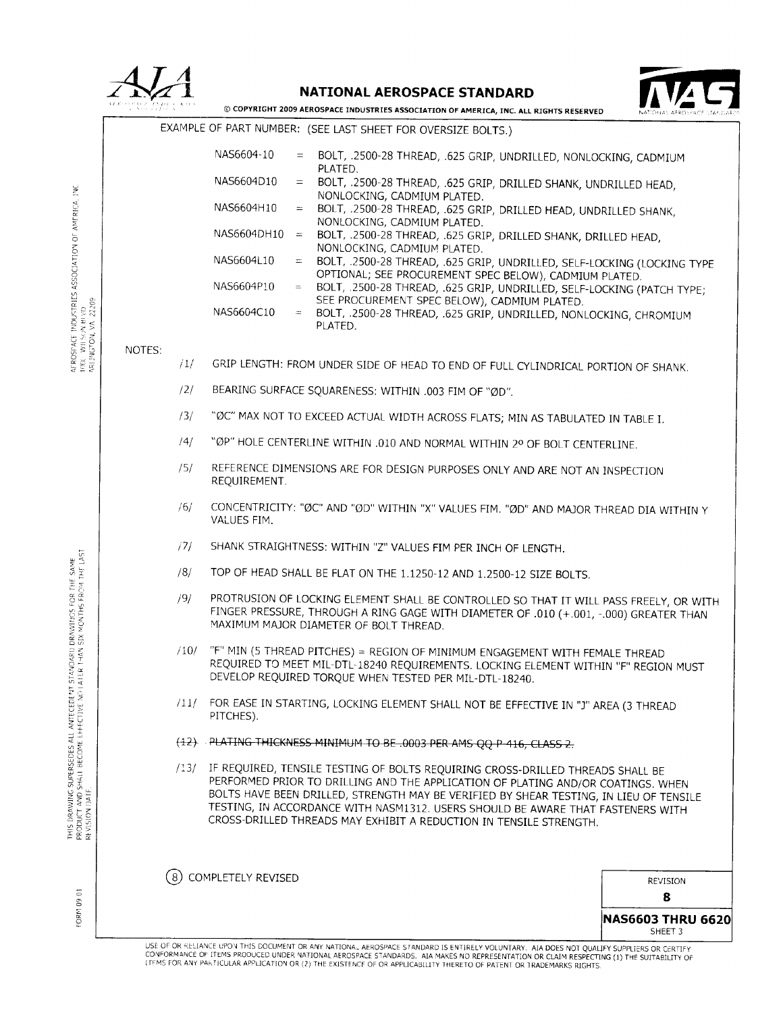|                                                                                                                        |                                                                                        |                                                                                             | <b>NATIONAL AEROSPACE STANDARD</b>                            |                                                                                                                                                                                                                                                                                                                                                                                                                       |               |  |  |
|------------------------------------------------------------------------------------------------------------------------|----------------------------------------------------------------------------------------|---------------------------------------------------------------------------------------------|---------------------------------------------------------------|-----------------------------------------------------------------------------------------------------------------------------------------------------------------------------------------------------------------------------------------------------------------------------------------------------------------------------------------------------------------------------------------------------------------------|---------------|--|--|
|                                                                                                                        | © COPYRIGHT 2009 AEROSPACE INDUSTRIES ASSOCIATION OF AMERICA, INC. ALL RIGHTS RESERVED |                                                                                             |                                                               |                                                                                                                                                                                                                                                                                                                                                                                                                       |               |  |  |
|                                                                                                                        |                                                                                        |                                                                                             | EXAMPLE OF PART NUMBER: (SEE LAST SHEET FOR OVERSIZE BOLTS.)  |                                                                                                                                                                                                                                                                                                                                                                                                                       |               |  |  |
|                                                                                                                        |                                                                                        | NAS6604-10                                                                                  | $\equiv$<br>PLATED.                                           | BOLT, .2500-28 THREAD, .625 GRIP, UNDRILLED, NONLOCKING, CADMIUM                                                                                                                                                                                                                                                                                                                                                      |               |  |  |
|                                                                                                                        |                                                                                        | NAS6604D10                                                                                  | $=$<br>NONLOCKING, CADMIUM PLATED.                            | BOLT, .2500-28 THREAD, .625 GRIP, DRILLED SHANK, UNDRILLED HEAD,                                                                                                                                                                                                                                                                                                                                                      |               |  |  |
|                                                                                                                        |                                                                                        | NAS6604H10                                                                                  | $\equiv$<br>NONLOCKING, CADMIUM PLATED.                       | BOLT, .2500-28 THREAD, .625 GRIP, DRILLED HEAD, UNDRILLED SHANK,                                                                                                                                                                                                                                                                                                                                                      |               |  |  |
|                                                                                                                        |                                                                                        | NAS6604DH10                                                                                 | $\equiv$<br>NONLOCKING, CADMIUM PLATED.                       | BOLT, .2500-28 THREAD, .625 GRIP, DRILLED SHANK, DRILLED HEAD,                                                                                                                                                                                                                                                                                                                                                        |               |  |  |
|                                                                                                                        |                                                                                        | NAS6604L10                                                                                  | $=$                                                           | BOLT, .2500-28 THREAD, .625 GRIP, UNDRILLED, SELF-LOCKING (LOCKING TYPE                                                                                                                                                                                                                                                                                                                                               |               |  |  |
|                                                                                                                        |                                                                                        | NAS6604P10                                                                                  | $\equiv$                                                      | OPTIONAL; SEE PROCUREMENT SPEC BELOW), CADMIUM PLATED.<br>BOLT, .2500-28 THREAD, .625 GRIP, UNDRILLED, SELF-LOCKING (PATCH TYPE;<br>SEE PROCUREMENT SPEC BELOW), CADMIUM PLATED.                                                                                                                                                                                                                                      |               |  |  |
| INDUSTRIES ASSOCIATION OF AMERICA, INC<br>AEROSPACE INDUSTRIES<br>1000: WILSON BLVD<br>ARLINGTON, VA. 22209            |                                                                                        | NAS6604C10                                                                                  | PLATED.                                                       | = BOLT, .2500-28 THREAD, .625 GRIP, UNDRILLED, NONLOCKING, CHROMIUM                                                                                                                                                                                                                                                                                                                                                   |               |  |  |
|                                                                                                                        | NOTES:<br>717                                                                          |                                                                                             |                                                               | GRIP LENGTH: FROM UNDER SIDE OF HEAD TO END OF FULL CYLINDRICAL PORTION OF SHANK.                                                                                                                                                                                                                                                                                                                                     |               |  |  |
|                                                                                                                        | /2/                                                                                    |                                                                                             | BEARING SURFACE SQUARENESS: WITHIN .003 FIM OF "ØD".          |                                                                                                                                                                                                                                                                                                                                                                                                                       |               |  |  |
|                                                                                                                        | /3/                                                                                    | "ØC" MAX NOT TO EXCEED ACTUAL WIDTH ACROSS FLATS; MIN AS TABULATED IN TABLE I.              |                                                               |                                                                                                                                                                                                                                                                                                                                                                                                                       |               |  |  |
|                                                                                                                        | /4/                                                                                    | "ØP" HOLE CENTERLINE WITHIN .010 AND NORMAL WITHIN 2º OF BOLT CENTERLINE.                   |                                                               |                                                                                                                                                                                                                                                                                                                                                                                                                       |               |  |  |
|                                                                                                                        | /5/                                                                                    | REFERENCE DIMENSIONS ARE FOR DESIGN PURPOSES ONLY AND ARE NOT AN INSPECTION<br>REQUIREMENT. |                                                               |                                                                                                                                                                                                                                                                                                                                                                                                                       |               |  |  |
|                                                                                                                        | /6/                                                                                    | VALUES FIM.                                                                                 |                                                               | CONCENTRICITY: "ØC" AND "ØD" WITHIN "X" VALUES FIM. "ØD" AND MAJOR THREAD DIA WITHIN Y                                                                                                                                                                                                                                                                                                                                |               |  |  |
|                                                                                                                        | /7/                                                                                    |                                                                                             | SHANK STRAIGHTNESS: WITHIN "Z" VALUES FIM PER INCH OF LENGTH. |                                                                                                                                                                                                                                                                                                                                                                                                                       |               |  |  |
|                                                                                                                        | /8/                                                                                    |                                                                                             |                                                               | TOP OF HEAD SHALL BE FLAT ON THE 1.1250-12 AND 1.2500-12 SIZE BOLTS.                                                                                                                                                                                                                                                                                                                                                  |               |  |  |
| WINGS FOR THE SAME<br>MONTHS FROM THE LAST<br>as<br>Six                                                                | /9/                                                                                    |                                                                                             | MAXIMUM MAJOR DIAMETER OF BOLT THREAD.                        | PROTRUSION OF LOCKING ELEMENT SHALL BE CONTROLLED SO THAT IT WILL PASS FREELY, OR WITH<br>FINGER PRESSURE, THROUGH A RING GAGE WITH DIAMETER OF .010 (+.001, -.000) GREATER THAN                                                                                                                                                                                                                                      |               |  |  |
|                                                                                                                        | /10/                                                                                   |                                                                                             | DEVELOP REQUIRED TORQUE WHEN TESTED PER MIL-DTL-18240.        | "F" MIN (5 THREAD PITCHES) = REGION OF MINIMUM ENGAGEMENT WITH FEMALE THREAD<br>REQUIRED TO MEET MIL-DTL-18240 REQUIREMENTS. LOCKING ELEMENT WITHIN "F" REGION MUST                                                                                                                                                                                                                                                   |               |  |  |
|                                                                                                                        | /11/                                                                                   | PITCHES).                                                                                   |                                                               | FOR EASE IN STARTING, LOCKING ELEMENT SHALL NOT BE EFFECTIVE IN "J" AREA (3 THREAD                                                                                                                                                                                                                                                                                                                                    |               |  |  |
|                                                                                                                        |                                                                                        |                                                                                             |                                                               | (12) PLATING THICKNESS MINIMUM TO BE .0003 PER AMS QQ P-416, CLASS 2.                                                                                                                                                                                                                                                                                                                                                 |               |  |  |
| THIS DRAWING SUPERSEDES ALL ANTECEDENT STANDARI)<br>PRODUCT AND SHALL BECOME EFFECTIVE NO LATER 1 HAN<br>REVISION DATE | /13/                                                                                   |                                                                                             |                                                               | IF REQUIRED, TENSILE TESTING OF BOLTS REQUIRING CROSS-DRILLED THREADS SHALL BE<br>PERFORMED PRIOR TO DRILLING AND THE APPLICATION OF PLATING AND/OR COATINGS. WHEN<br>BOLTS HAVE BEEN DRILLED, STRENGTH MAY BE VERIFIED BY SHEAR TESTING, IN LIEU OF TENSILE<br>TESTING, IN ACCORDANCE WITH NASM1312. USERS SHOULD BE AWARE THAT FASTENERS WITH<br>CROSS-DRILLED THREADS MAY EXHIBIT A REDUCTION IN TENSILE STRENGTH. |               |  |  |
|                                                                                                                        | ( 8)                                                                                   | COMPLETELY REVISED                                                                          |                                                               |                                                                                                                                                                                                                                                                                                                                                                                                                       |               |  |  |
| $\overline{\circ}$                                                                                                     |                                                                                        |                                                                                             |                                                               |                                                                                                                                                                                                                                                                                                                                                                                                                       | REVISION<br>R |  |  |

FORM 09 01

**NAS6603 THRU 6620**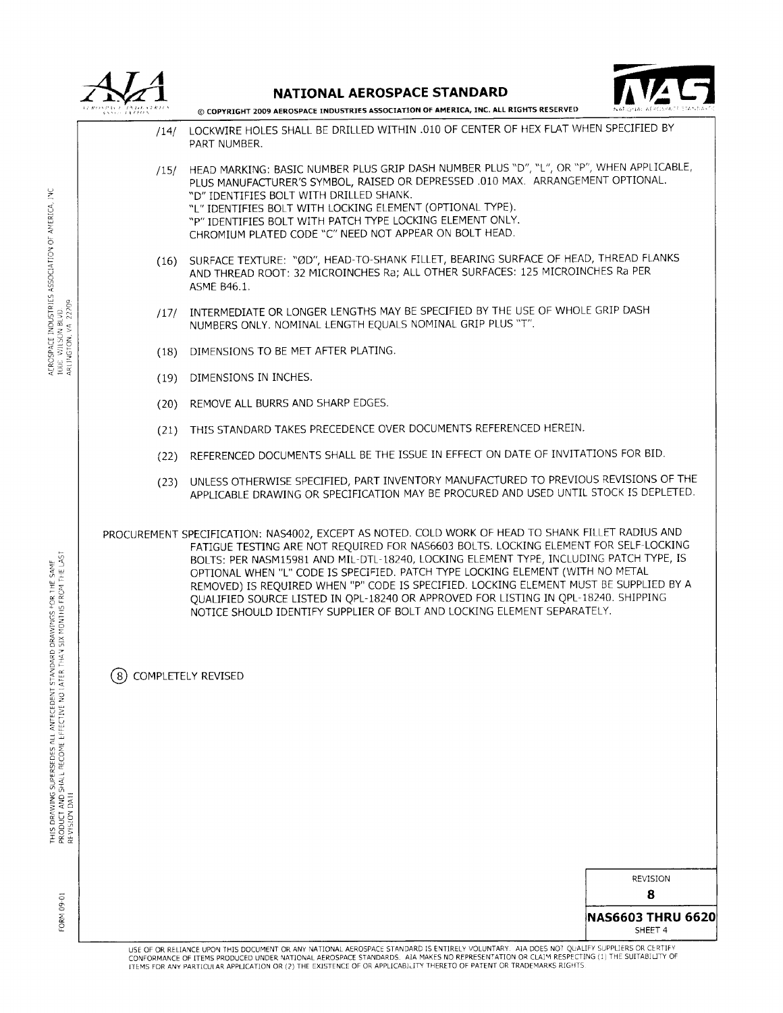

NATIONAL AEROSPACE STANDARD



© COPYRIGHT 2009 AEROSPACE INDUSTRIES ASSOCIATION OF AMERICA, INC. ALL RIGHTS RESERVED

- LOCKWIRE HOLES SHALL BE DRILLED WITHIN .010 OF CENTER OF HEX FLAT WHEN SPECIFIED BY  $/14/$ PART NUMBER.
- HEAD MARKING: BASIC NUMBER PLUS GRIP DASH NUMBER PLUS "D", "L", OR "P", WHEN APPLICABLE,  $/15/$ PLUS MANUFACTURER'S SYMBOL, RAISED OR DEPRESSED .010 MAX. ARRANGEMENT OPTIONAL. "D" IDENTIFIES BOLT WITH DRILLED SHANK. "L" IDENTIFIES BOLT WITH LOCKING ELEMENT (OPTIONAL TYPE). "P" IDENTIFIES BOLT WITH PATCH TYPE LOCKING ELEMENT ONLY. CHROMIUM PLATED CODE "C" NEED NOT APPEAR ON BOLT HEAD.
- (16) SURFACE TEXTURE: "ØD", HEAD-TO-SHANK FILLET, BEARING SURFACE OF HEAD, THREAD FLANKS AND THREAD ROOT: 32 MICROINCHES Ra; ALL OTHER SURFACES: 125 MICROINCHES Ra PER **ASME B46.1.**
- /17/ INTERMEDIATE OR LONGER LENGTHS MAY BE SPECIFIED BY THE USE OF WHOLE GRIP DASH NUMBERS ONLY. NOMINAL LENGTH EQUALS NOMINAL GRIP PLUS "T".
- (18) DIMENSIONS TO BE MET AFTER PLATING.
- (19) DIMENSIONS IN INCHES.
- (20) REMOVE ALL BURRS AND SHARP EDGES.
- (21) THIS STANDARD TAKES PRECEDENCE OVER DOCUMENTS REFERENCED HEREIN.
- (22) REFERENCED DOCUMENTS SHALL BE THE ISSUE IN EFFECT ON DATE OF INVITATIONS FOR BID.
- (23) UNLESS OTHERWISE SPECIFIED, PART INVENTORY MANUFACTURED TO PREVIOUS REVISIONS OF THE APPLICABLE DRAWING OR SPECIFICATION MAY BE PROCURED AND USED UNTIL STOCK IS DEPLETED.

PROCUREMENT SPECIFICATION: NAS4002, EXCEPT AS NOTED. COLD WORK OF HEAD TO SHANK FILLET RADIUS AND FATIGUE TESTING ARE NOT REQUIRED FOR NAS6603 BOLTS. LOCKING ELEMENT FOR SELF-LOCKING BOLTS: PER NASM15981 AND MIL-DTL-18240, LOCKING ELEMENT TYPE, INCLUDING PATCH TYPE, IS OPTIONAL WHEN "L" CODE IS SPECIFIED. PATCH TYPE LOCKING ELEMENT (WITH NO METAL REMOVED) IS REQUIRED WHEN "P" CODE IS SPECIFIED. LOCKING ELEMENT MUST BE SUPPLIED BY A OUALIFIED SOURCE LISTED IN OPL-18240 OR APPROVED FOR LISTING IN OPL-18240. SHIPPING NOTICE SHOULD IDENTIFY SUPPLIER OF BOLT AND LOCKING ELEMENT SEPARATELY.

COMPLETELY REVISED

**REVISION** 

8

**NAS6603 THRU 6620** SHEFT<sub>4</sub>

ž

FORM 09-01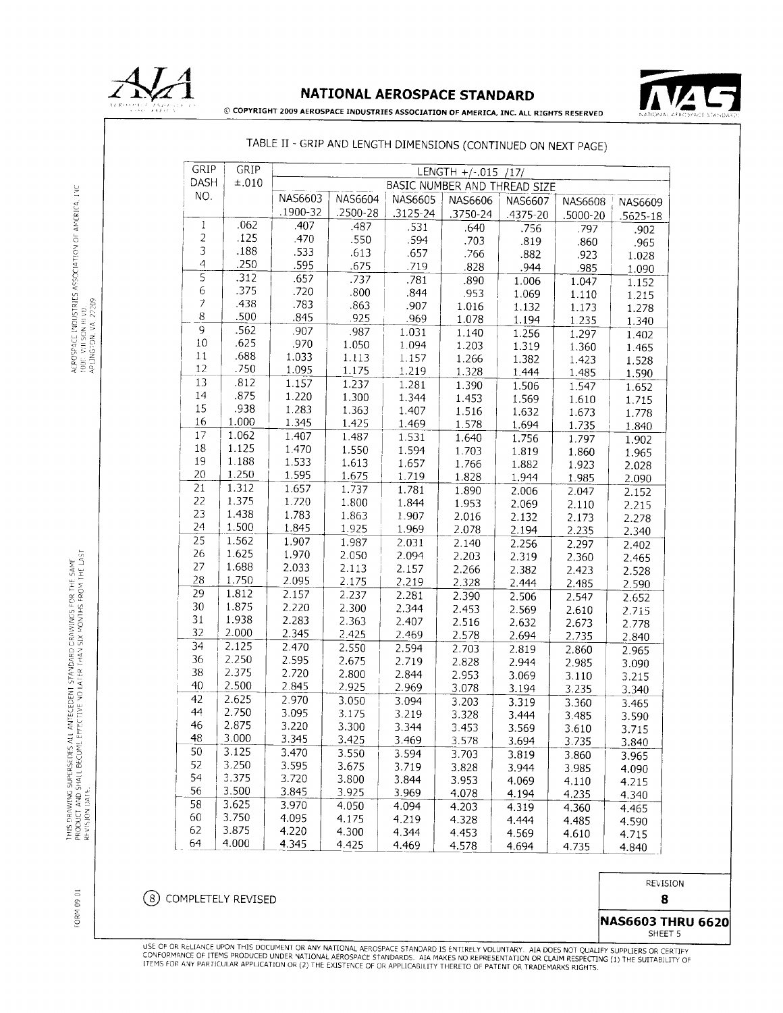

# NATIONAL AEROSPACE STANDARD



© COPYRIGHT 2009 AEROSPACE INDUSTRIES ASSOCIATION OF AMERICA, INC. ALL RIGHTS RESERVED

# TABLE II - GRIP AND LENGTH DIMENSIONS (CONTINUED ON NEXT PAGE)

| GRIP                          | GRIP         |          |                              |                |                |          |                |              |
|-------------------------------|--------------|----------|------------------------------|----------------|----------------|----------|----------------|--------------|
| DASH                          | ±.010        |          | LENGTH $+/-.015$ /17/        |                |                |          |                |              |
| NO.                           |              | NAS6603  | BASIC NUMBER AND THREAD SIZE |                |                |          |                |              |
|                               |              | .1900-32 | <b>NAS6604</b><br>.2500-28   | <b>NAS6605</b> | <b>NAS6606</b> | NAS6607  | <b>NAS6608</b> | NAS6609      |
| $\mathbf 1$                   | .062         | .407     |                              | $.3125 - 24$   | .3750-24       | .4375-20 | .5000-20       | $.5625 - 18$ |
| $\overline{c}$                | .125         |          | .487                         | .531           | .640           | .756     | .797           | .902         |
| $\overline{3}$                | .188         | .470     | .550                         | .594           | .703           | .819     | .860           | .965         |
| $\overline{4}$                | .250         | .533     | .613                         | .657           | .766           | .882     | .923           | 1.028        |
| $\overline{5}$                |              | .595     | .675                         | .719           | .828           | .944     | .985           | 1.090        |
|                               | .312         | .657     | .737                         | .781           | .890           | 1.006    | 1.047          | 1.152        |
| $\,$ 6 $\,$<br>$\overline{7}$ | .375         | .720     | .800                         | .844           | .953           | 1.069    | 1.110          | 1.215        |
| $\,8\,$                       | .438<br>.500 | .783     | .863                         | .907           | 1.016          | 1.132    | 1.173          | 1.278        |
| 9                             |              | .845     | .925                         | .969           | 1.078          | 1.194    | 1.235          | 1.340        |
|                               | .562         | .907     | .987                         | 1.031          | 1.140          | 1.256    | 1.297          | 1.402        |
| $10\,$<br>$11\,$              | .625<br>.688 | .970     | 1.050                        | 1.094          | 1.203          | 1.319    | 1.360          | 1.465        |
| 12                            | .750         | 1.033    | 1.113                        | 1.157          | 1.266          | 1.382    | 1.423          | 1.528        |
|                               |              | 1.095    | 1.175                        | 1.219          | 1.328          | 1.444    | 1.485          | 1.590        |
| 13<br>14                      | .812         | 1.157    | 1.237                        | 1.281          | 1.390          | 1.506    | 1.547          | 1.652        |
| 15                            | .875         | 1.220    | 1.300                        | 1.344          | 1.453          | 1.569    | 1.610          | 1.715        |
|                               | .938         | 1.283    | 1.363                        | 1.407          | 1.516          | 1.632    | 1.673          | 1.778        |
| 16                            | 1.000        | 1.345    | 1.425                        | 1.469          | 1.578          | 1.694    | 1.735          | 1.840        |
| 17                            | 1.062        | 1.407    | 1.487                        | 1.531          | 1.640          | 1.756    | 1.797          | 1.902        |
| 18                            | 1.125        | 1.470    | 1.550                        | 1.594          | 1.703          | 1.819    | 1.860          | 1.965        |
| 19                            | 1.188        | 1.533    | 1.613                        | 1.657          | 1.766          | 1.882    | 1.923          | 2.028        |
| 20                            | 1.250        | 1.595    | 1.675                        | 1.719          | 1.828          | 1.944    | 1.985          | 2.090        |
| 21                            | 1.312        | 1.657    | 1.737                        | 1.781          | 1.890          | 2.006    | 2.047          | 2.152        |
| 22                            | 1.375        | 1.720    | 1.800                        | 1.844          | 1.953          | 2.069    | 2.110          | 2.215        |
| 23                            | 1.438        | 1.783    | 1.863                        | 1.907          | 2.016          | 2.132    | 2.173          | 2.278        |
| 24                            | 1.500        | 1.845    | 1.925                        | 1.969          | 2.078          | 2.194    | 2.235          | 2.340        |
| 25                            | 1.562        | 1.907    | 1.987                        | 2.031          | 2.140          | 2.256    | 2.297          | 2.402        |
| 26                            | 1.625        | 1.970    | 2.050                        | 2.094          | 2.203          | 2.319    | 2.360          | 2.465        |
| 27                            | 1.688        | 2.033    | 2.113                        | 2.157          | 2.266          | 2.382    | 2.423          | 2.528        |
| 28                            | 1.750        | 2.095    | 2.175                        | 2.219          | 2.328          | 2.444    | 2.485          | 2.590        |
| 29                            | 1.812        | 2.157    | 2.237                        | 2.281          | 2.390          | 2.506    | 2.547          | 2.652        |
| 30                            | 1.875        | 2.220    | 2.300                        | 2.344          | 2.453          | 2.569    | 2.610          | 2.715        |
| 31                            | 1.938        | 2.283    | 2.363                        | 2.407          | 2.516          | 2.632    | 2.673          | 2.778        |
| 32                            | 2.000        | 2.345    | 2.425                        | 2.469          | 2.578          | 2.694    | 2.735          | 2.840        |
| 34                            | 2.125        | 2.470    | 2.550                        | 2.594          | 2.703          | 2.819    | 2.860          | 2.965        |
| 36                            | 2.250        | 2.595    | 2.675                        | 2.719          | 2.828          | 2.944    | 2.985          | 3.090        |
| 38                            | 2.375        | 2.720    | 2.800                        | 2.844          | 2.953          | 3.069    | 3.110          | 3.215        |
| 40                            | 2.500        | 2.845    | 2.925                        | 2.969          | 3.078          | 3.194    | 3.235          | 3.340        |
| 42                            | 2.625        | 2.970    | 3.050                        | 3.094          | 3.203          | 3.319    | 3.360          | 3.465        |
| 44                            | 2.750        | 3.095    | 3.175                        | 3.219          | 3.328          | 3.444    | 3.485          | 3.590        |
| 46                            | 2.875        | 3.220    | 3.300                        | 3.344          | 3.453          | 3.569    | 3.610          | 3.715        |
| 48                            | 3.000        | 3.345    | 3.425                        | 3.469          | 3.578          | 3.694    | 3.735          | 3.840        |
| 50                            | 3.125        | 3.470    | 3.550                        | 3.594          | 3.703          | 3.819    | 3.860          | 3.965        |
| 52                            | 3.250        | 3.595    | 3.675                        | 3.719          | 3.828          | 3.944    | 3.985          | 4.090        |
| 54                            | 3.375        | 3.720    | 3.800                        | 3.844          | 3.953          | 4.069    | 4.110          | 4.215        |
| 56                            | 3.500        | 3.845    | 3.925                        | 3.969          | 4.078          | 4.194    | 4.235          | 4.340        |
| 58                            | 3.625        | 3.970    | 4.050                        | 4.094          | 4.203          | 4.319    | 4.360          | 4.465        |
| 60                            | 3.750        | 4.095    | 4.175                        | 4.219          | 4.328          | 4.444    | 4 4 8 5        | 4.590        |
| 62                            | 3.875        | 4.220    | 4.300                        | 4.344          | 4.453          | 4.569    | 4.610          | 4.715        |
| 64                            | 4.000        | 4.345    | 4.425                        | 4.469          | 4.578          | 4.694    | 4.735          | 4.840        |

# AEPOSPACE INDUSTRIES ASSOCIATION OF AMERICA, INC.<br>1000: VIII SON BLVD.<br>APLINGTON, VA. 22209

FORM 09 01

8 COMPLETELY REVISED

|                 | REVISION |  |
|-----------------|----------|--|
|                 | 8        |  |
| JACGGA? TUDII C |          |  |

13 THRU 6620 SHEET 5

.<br>USE OF OR RELIANCE UPON THIS DOCUMENT OR ANY NATIONAL AEROSPACE STANDARD IS ENTIRELY VOLUNTARY. AIA DOES NOT QUALIFY SUPPLIERS OR CERTIFY<br>CONFORMANCE OF ITEMS PRODUCED UNDER NATIONAL AEROSPACE STANDARDS. AIA MAKES NO REP